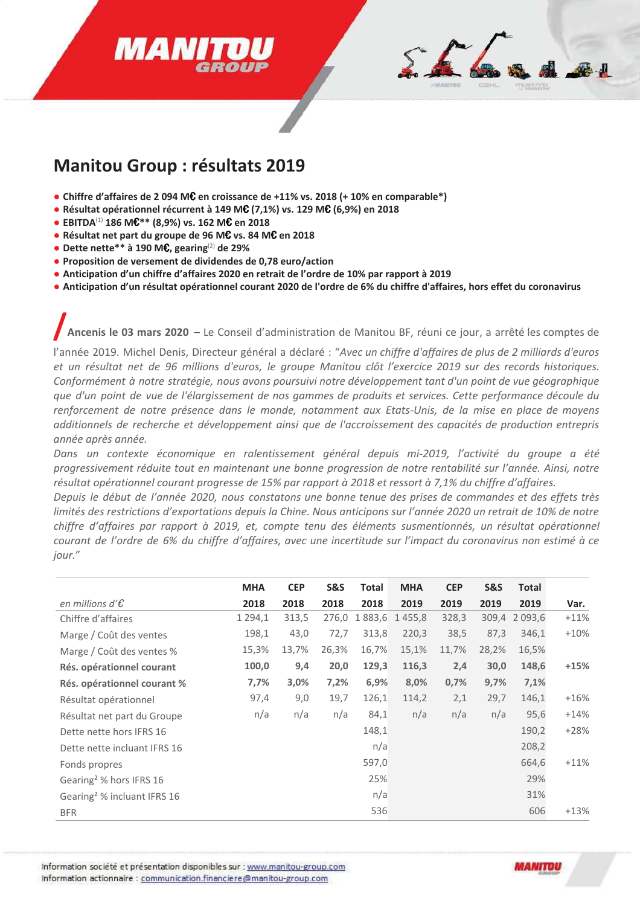# **MAN**



# **Manitou Group : résultats 2019**

- Chiffre d'affaires de 2 094 M $\epsilon$  en croissance de +11% vs. 2018 (+ 10% en comparable\*)
- Résultat opérationnel récurrent à 149 MC (7,1%) vs. 129 MC (6,9%) en 2018
- EBITDA<sup>(1)</sup> 186 M $C^{**}$  (8,9%) vs. 162 M $C$  en 2018
- Résultat net part du groupe de 96 MC vs. 84 MC en 2018
- Dette nette \*\* à 190 M $\epsilon$ , gearing<sup>(2)</sup> de 29%
- Proposition de versement de dividendes de 0,78 euro/action
- Anticipation d'un chiffre d'affaires 2020 en retrait de l'ordre de 10% par rapport à 2019
- Anticipation d'un résultat opérationnel courant 2020 de l'ordre de 6% du chiffre d'affaires, hors effet du coronavirus

Ancenis le 03 mars 2020 - Le Conseil d'administration de Manitou BF, réuni ce jour, a arrêté les comptes de

l'année 2019. Michel Denis, Directeur général a déclaré : "Avec un chiffre d'affaires de plus de 2 milliards d'euros et un résultat net de 96 millions d'euros, le groupe Manitou clôt l'exercice 2019 sur des records historiques. Conformément à notre stratégie, nous avons poursuivi notre développement tant d'un point de vue géographique que d'un point de vue de l'élargissement de nos gammes de produits et services. Cette performance découle du renforcement de notre présence dans le monde, notamment aux Etats-Unis, de la mise en place de moyens additionnels de recherche et développement ainsi que de l'accroissement des capacités de production entrepris année après année.

Dans un contexte économique en ralentissement général depuis mi-2019, l'activité du groupe a été progressivement réduite tout en maintenant une bonne progression de notre rentabilité sur l'année. Ainsi, notre résultat opérationnel courant progresse de 15% par rapport à 2018 et ressort à 7,1% du chiffre d'affaires.

Depuis le début de l'année 2020, nous constatons une bonne tenue des prises de commandes et des effets très limités des restrictions d'exportations depuis la Chine. Nous anticipons sur l'année 2020 un retrait de 10% de notre chiffre d'affaires par rapport à 2019, et, compte tenu des éléments susmentionnés, un résultat opérationnel courant de l'ordre de 6% du chiffre d'affaires, avec une incertitude sur l'impact du coronavirus non estimé à ce jour."

|                                         | <b>MHA</b> | <b>CEP</b> | <b>S&amp;S</b> | Total | <b>MHA</b>    | <b>CEP</b> | <b>S&amp;S</b> | <b>Total</b>  |        |
|-----------------------------------------|------------|------------|----------------|-------|---------------|------------|----------------|---------------|--------|
| en millions d' $\mathcal E$             | 2018       | 2018       | 2018           | 2018  | 2019          | 2019       | 2019           | 2019          | Var.   |
| Chiffre d'affaires                      | 1 294,1    | 313,5      | 276,0          |       | 1883,6 1455,8 | 328,3      |                | 309,4 2 093,6 | $+11%$ |
| Marge / Coût des ventes                 | 198,1      | 43,0       | 72,7           | 313,8 | 220,3         | 38,5       | 87,3           | 346,1         | $+10%$ |
| Marge / Coût des ventes %               | 15,3%      | 13,7%      | 26,3%          | 16,7% | 15,1%         | 11,7%      | 28,2%          | 16,5%         |        |
| Rés. opérationnel courant               | 100,0      | 9,4        | 20,0           | 129,3 | 116,3         | 2,4        | 30,0           | 148,6         | $+15%$ |
| Rés. opérationnel courant %             | 7,7%       | 3,0%       | 7,2%           | 6,9%  | 8,0%          | 0,7%       | 9,7%           | 7,1%          |        |
| Résultat opérationnel                   | 97,4       | 9,0        | 19,7           | 126,1 | 114,2         | 2,1        | 29,7           | 146,1         | $+16%$ |
| Résultat net part du Groupe             | n/a        | n/a        | n/a            | 84,1  | n/a           | n/a        | n/a            | 95,6          | $+14%$ |
| Dette nette hors IFRS 16                |            |            |                | 148,1 |               |            |                | 190,2         | $+28%$ |
| Dette nette incluant IFRS 16            |            |            |                | n/a   |               |            |                | 208,2         |        |
| Fonds propres                           |            |            |                | 597,0 |               |            |                | 664,6         | $+11%$ |
| Gearing <sup>2</sup> % hors IFRS 16     |            |            |                | 25%   |               |            |                | 29%           |        |
| Gearing <sup>2</sup> % incluant IFRS 16 |            |            |                | n/a   |               |            |                | 31%           |        |
| <b>BFR</b>                              |            |            |                | 536   |               |            |                | 606           | $+13%$ |

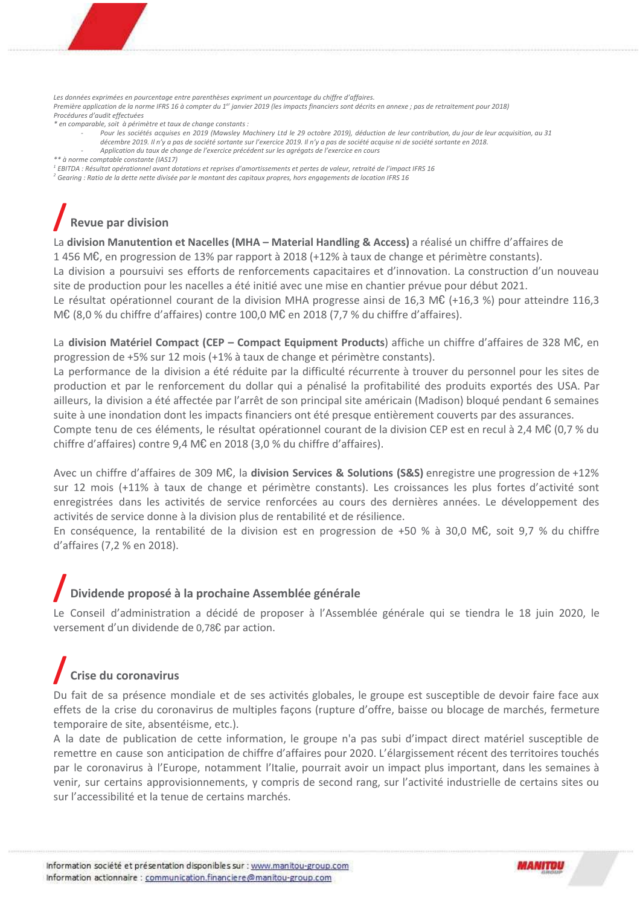Les données exprimées en pourcentage entre parenthèses expriment un pourcentage du chiffre d'affaires. Première application de la norme IFRS 16 à compter du 1<sup>er</sup> janvier 2019 (les impacts financiers sont décrits en annexe : pas de retraitement pour 2018) Procédures d'audit effectuées

- \* en comparable, soit à périmètre et taux de change constants :
	- Pour les sociétés acquises en 2019 (Mawsley Machinery Ltd le 29 octobre 2019), déduction de leur contribution, du jour de leur acquisition, au 31 décembre 2019. Il n'y a pas de société sortante sur l'exercice 2019. Il n'y a pas de société acquise ni de société sortante en 2018.
	- Application du taux de change de l'exercice précédent sur les agrégats de l'exercice en cours

\*\* à norme comptable constante (IAS17)

- $^1$  EBITDA : Résultat opérationnel avant dotations et reprises d'amortissements et pertes de valeur, retraité de l'impact IFRS 16
- $^2$  Gearing : Ratio de la dette nette divisée par le montant des capitaux propres, hors engagements de location IFRS 16

# **Revue par division**

La division Manutention et Nacelles (MHA - Material Handling & Access) a réalisé un chiffre d'affaires de 1456 M€, en progression de 13% par rapport à 2018 (+12% à taux de change et périmètre constants).

La division a poursuivi ses efforts de renforcements capacitaires et d'innovation. La construction d'un nouveau site de production pour les nacelles a été initié avec une mise en chantier prévue pour début 2021.

Le résultat opérationnel courant de la division MHA progresse ainsi de 16,3 M $\mathfrak{C}$  (+16,3 %) pour atteindre 116,3 M€ (8,0 % du chiffre d'affaires) contre 100,0 M€ en 2018 (7,7 % du chiffre d'affaires).

La division Matériel Compact (CEP – Compact Equipment Products) affiche un chiffre d'affaires de 328 M€, en progression de +5% sur 12 mois (+1% à taux de change et périmètre constants).

La performance de la division a été réduite par la difficulté récurrente à trouver du personnel pour les sites de production et par le renforcement du dollar qui a pénalisé la profitabilité des produits exportés des USA. Par ailleurs, la division a été affectée par l'arrêt de son principal site américain (Madison) bloqué pendant 6 semaines suite à une inondation dont les impacts financiers ont été presque entièrement couverts par des assurances.

Compte tenu de ces éléments, le résultat opérationnel courant de la division CEP est en recul à 2,4 M€ (0,7 % du chiffre d'affaires) contre 9,4 M€ en 2018 (3,0 % du chiffre d'affaires).

Avec un chiffre d'affaires de 309 M $\epsilon$ , la division Services & Solutions (S&S) enregistre une progression de +12% sur 12 mois (+11% à taux de change et périmètre constants). Les croissances les plus fortes d'activité sont enregistrées dans les activités de service renforcées au cours des dernières années. Le développement des activités de service donne à la division plus de rentabilité et de résilience.

En conséquence, la rentabilité de la division est en progression de +50 % à 30,0 M€, soit 9,7 % du chiffre d'affaires (7,2 % en 2018).

# Dividende proposé à la prochaine Assemblée générale

Le Conseil d'administration a décidé de proposer à l'Assemblée générale qui se tiendra le 18 juin 2020, le versement d'un dividende de 0,78€ par action.

# Crise du coronavirus

Du fait de sa présence mondiale et de ses activités globales, le groupe est susceptible de devoir faire face aux effets de la crise du coronavirus de multiples façons (rupture d'offre, baisse ou blocage de marchés, fermeture temporaire de site, absentéisme, etc.).

A la date de publication de cette information, le groupe n'a pas subi d'impact direct matériel susceptible de remettre en cause son anticipation de chiffre d'affaires pour 2020. L'élargissement récent des territoires touchés par le coronavirus à l'Europe, notamment l'Italie, pourrait avoir un impact plus important, dans les semaines à venir, sur certains approvisionnements, y compris de second rang, sur l'activité industrielle de certains sites ou sur l'accessibilité et la tenue de certains marchés.

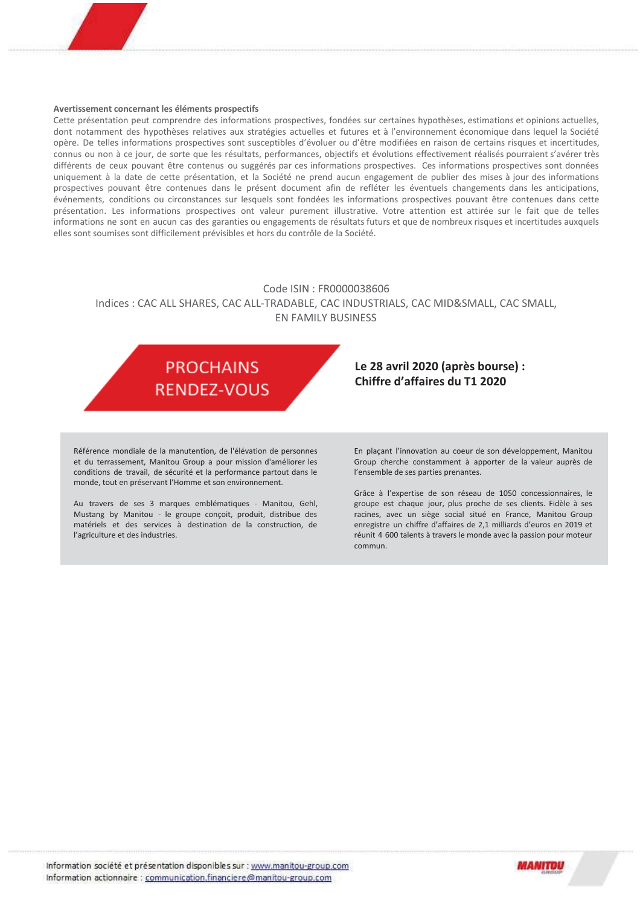#### Avertissement concernant les éléments prospectifs

Cette présentation peut comprendre des informations prospectives, fondées sur certaines hypothèses, estimations et opinions actuelles, dont notamment des hypothèses relatives aux stratégies actuelles et futures et à l'environnement économique dans lequel la Société opère. De telles informations prospectives sont susceptibles d'évoluer ou d'être modifiées en raison de certains risques et incertitudes, connus ou non à ce jour, de sorte que les résultats, performances, objectifs et évolutions effectivement réalisés pourraient s'avérer très différents de ceux pouvant être contenus ou suggérés par ces informations prospectives. Ces informations prospectives sont données uniquement à la date de cette présentation, et la Société ne prend aucun engagement de publier des mises à jour des informations prospectives pouvant être contenues dans le présent document afin de refléter les éventuels changements dans les anticipations, événements, conditions ou circonstances sur lesquels sont fondées les informations prospectives pouvant être contenues dans cette présentation. Les informations prospectives ont valeur purement illustrative. Votre attention est attirée sur le fait que de telles informations ne sont en aucun cas des garanties ou engagements de résultats futurs et que de nombreux risques et incertitudes auxquels elles sont soumises sont difficilement prévisibles et hors du contrôle de la Société.

#### Code ISIN : FR0000038606

#### Indices : CAC ALL SHARES, CAC ALL-TRADABLE, CAC INDUSTRIALS, CAC MID&SMALL, CAC SMALL, EN FAMILY BUSINESS



Référence mondiale de la manutention, de l'élévation de personnes et du terrassement, Manitou Group a pour mission d'améliorer les conditions de travail, de sécurité et la performance partout dans le monde, tout en préservant l'Homme et son environnement.

Au travers de ses 3 marques emblématiques - Manitou, Gehl, Mustang by Manitou - le groupe conçoit, produit, distribue des matériels et des services à destination de la construction, de l'agriculture et des industries.

#### Le 28 avril 2020 (après bourse) : Chiffre d'affaires du T1 2020

En plaçant l'innovation au coeur de son développement, Manitou Group cherche constamment à apporter de la valeur auprès de l'ensemble de ses parties prenantes.

Grâce à l'expertise de son réseau de 1050 concessionnaires, le groupe est chaque jour, plus proche de ses clients. Fidèle à ses racines, avec un siège social situé en France, Manitou Group enregistre un chiffre d'affaires de 2,1 milliards d'euros en 2019 et réunit 4 600 talents à travers le monde avec la passion pour moteur commun.

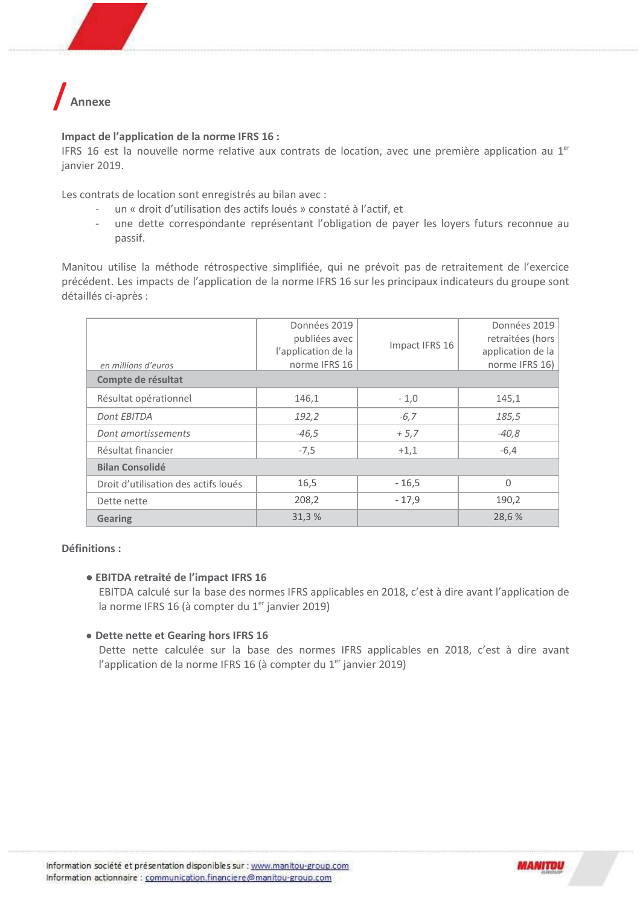

#### Impact de l'application de la norme IFRS 16 :

IFRS 16 est la nouvelle norme relative aux contrats de location, avec une première application au 1<sup>er</sup> janvier 2019.

Les contrats de location sont enregistrés au bilan avec :

- un « droit d'utilisation des actifs loués » constaté à l'actif, et  $\mathcal{L}^{\pm}$
- une dette correspondante représentant l'obligation de payer les loyers futurs reconnue au  $\overline{\phantom{a}}$ passif.

Manitou utilise la méthode rétrospective simplifiée, qui ne prévoit pas de retraitement de l'exercice précédent. Les impacts de l'application de la norme IFRS 16 sur les principaux indicateurs du groupe sont détaillés ci-après :

| en millions d'euros                  | Données 2019<br>publiées avec<br>l'application de la<br>norme IFRS 16 | Impact IFRS 16 | Données 2019<br>retraitées (hors<br>application de la<br>norme IFRS 16) |
|--------------------------------------|-----------------------------------------------------------------------|----------------|-------------------------------------------------------------------------|
| Compte de résultat                   |                                                                       |                |                                                                         |
| Résultat opérationnel                | 146,1                                                                 | $-1,0$         | 145,1                                                                   |
| Dont EBITDA                          | 192,2                                                                 | $-6,7$         | 185,5                                                                   |
| Dont amortissements                  | $-46,5$                                                               | $+5,7$         | $-40,8$                                                                 |
| Résultat financier                   | $-7,5$                                                                | $+1,1$         | $-6,4$                                                                  |
| <b>Bilan Consolidé</b>               |                                                                       |                |                                                                         |
| Droit d'utilisation des actifs loués | 16,5                                                                  | $-16,5$        | $\Omega$                                                                |
| Dette nette                          | 208,2                                                                 | $-17,9$        | 190,2                                                                   |
| <b>Gearing</b>                       | 31,3%                                                                 |                | 28,6%                                                                   |

#### Définitions :

#### **· EBITDA retraité de l'impact IFRS 16**

EBITDA calculé sur la base des normes IFRS applicables en 2018, c'est à dire avant l'application de la norme IFRS 16 (à compter du 1<sup>er</sup> janvier 2019)

#### • Dette nette et Gearing hors IFRS 16

Dette nette calculée sur la base des normes IFRS applicables en 2018, c'est à dire avant l'application de la norme IFRS 16 (à compter du 1<sup>er</sup> janvier 2019)

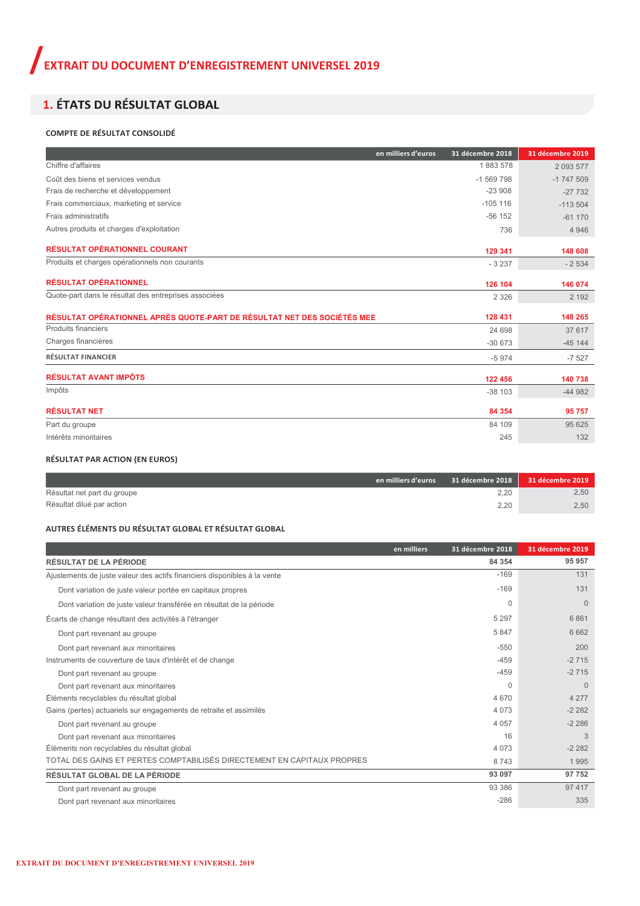### 1. ÉTATS DU RÉSULTAT GLOBAL

#### **COMPTE DE RÉSULTAT CONSOLIDÉ**

| en milliers d'euros                                                     | 31 décembre 2018 | 31 décembre 2019 |
|-------------------------------------------------------------------------|------------------|------------------|
| Chiffre d'affaires                                                      | 1883578          | 2 0 9 3 5 7 7    |
| Coût des biens et services vendus                                       | $-1569798$       | $-1747509$       |
| Frais de recherche et développement                                     | $-23908$         | $-27732$         |
| Frais commerciaux, marketing et service                                 | $-105$ 116       | $-113504$        |
| Frais administratifs                                                    | $-56$ 152        | $-61170$         |
| Autres produits et charges d'exploitation                               | 736              | 4 9 4 6          |
| <b>RÉSULTAT OPÉRATIONNEL COURANT</b>                                    | 129 341          | 148 608          |
| Produits et charges opérationnels non courants                          | $-3237$          | $-2534$          |
| <b>RÉSULTAT OPÉRATIONNEL</b>                                            | 126 104          | 146 074          |
| Quote-part dans le résultat des entreprises associées                   | 2 3 2 6          | 2 1 9 2          |
| RÉSULTAT OPÉRATIONNEL APRÈS QUOTE-PART DE RÉSULTAT NET DES SOCIÉTÉS MEE | 128 431          | 148 265          |
| Produits financiers                                                     | 24 698           | 37 617           |
| Charges financières                                                     | $-30673$         | $-45144$         |
| <b>RÉSULTAT FINANCIER</b>                                               | $-5974$          | $-7527$          |
| <b>RÉSULTAT AVANT IMPÔTS</b>                                            | 122 456          | 140 738          |
| Impôts                                                                  | $-38103$         | $-44982$         |
| <b>RÉSULTAT NET</b>                                                     | 84 354           | 95 757           |
| Part du groupe                                                          | 84 109           | 95 625           |
| Intérêts minoritaires                                                   | 245              | 132              |

#### **RÉSULTAT PAR ACTION (EN EUROS)**

|                             | en milliers d'euros | $31$ décembre 2018 | 31 décembre 2019 |
|-----------------------------|---------------------|--------------------|------------------|
| Résultat net part du groupe |                     | 2.20               | 2,50             |
| Résultat dilué par action   |                     | 2.20               | 2,50             |

#### **AUTRES ÉLÉMENTS DU RÉSULTAT GLOBAL ET RÉSULTAT GLOBAL**

|                                                                          | en milliers | 31 décembre 2018 | 31 décembre 2019 |
|--------------------------------------------------------------------------|-------------|------------------|------------------|
| <b>RÉSULTAT DE LA PÉRIODE</b>                                            |             | 84 354           | 95 957           |
| Ajustements de juste valeur des actifs financiers disponibles à la vente |             | $-169$           | 131              |
| Dont variation de juste valeur portée en capitaux propres                |             | $-169$           | 131              |
| Dont variation de juste valeur transférée en résultat de la période      |             | $\Omega$         | $\Omega$         |
| Écarts de change résultant des activités à l'étranger                    |             | 5 2 9 7          | 6861             |
| Dont part revenant au groupe                                             |             | 5847             | 6662             |
| Dont part revenant aux minoritaires                                      |             | $-550$           | 200              |
| Instruments de couverture de taux d'intérêt et de change                 |             | $-459$           | $-2715$          |
| Dont part revenant au groupe                                             |             | $-459$           | $-2715$          |
| Dont part revenant aux minoritaires                                      |             | $\Omega$         | $\Omega$         |
| Éléments recyclables du résultat global                                  |             | 4 670            | 4 2 7 7          |
| Gains (pertes) actuariels sur engagements de retraite et assimilés       |             | 4 0 7 3          | $-2282$          |
| Dont part revenant au groupe                                             |             | 4 0 5 7          | $-2286$          |
| Dont part revenant aux minoritaires                                      |             | 16               | 3                |
| Éléments non recyclables du résultat global                              |             | 4 0 7 3          | $-2282$          |
| TOTAL DES GAINS ET PERTES COMPTABILISÉS DIRECTEMENT EN CAPITAUX PROPRES  |             | 8743             | 1995             |
| RÉSULTAT GLOBAL DE LA PÉRIODE                                            |             | 93 097           | 97 752           |
| Dont part revenant au groupe                                             |             | 93 386           | 97 417           |
| Dont part revenant aux minoritaires                                      |             | $-286$           | 335              |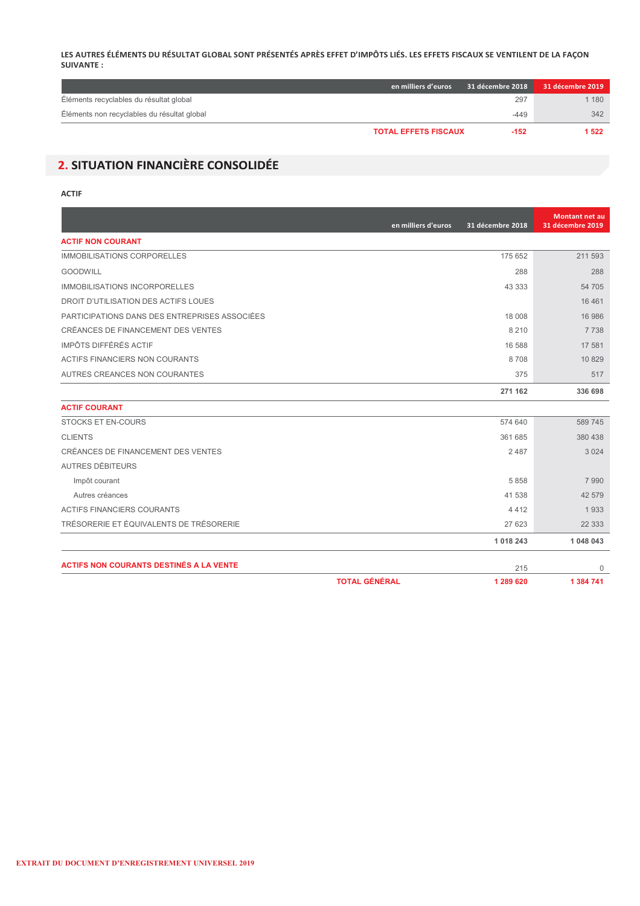#### **LES AUTRES ÉLÉMENTS DU RÉSULTAT GLOBAL SONT PRÉSENTÉS APRÈS EFFET D'IMPÔTS LIÉS. LES EFFETS FISCAUX SE VENTILENT DE LA FAÇON SUIVANTE :**

|                                             | en milliers d'euros         | 31 décembre 2018 | 31 décembre 2019 |
|---------------------------------------------|-----------------------------|------------------|------------------|
| Éléments recyclables du résultat global     |                             | 297              | 1 1 8 0          |
| Éléments non recyclables du résultat global |                             | $-449$           | 342              |
|                                             | <b>TOTAL EFFETS FISCAUX</b> | $-152$           | 1 5 2 2          |

# 2. SITUATION FINANCIÈRE CONSOLIDÉE

#### **ACTIF**

|                                                | en milliers d'euros  | 31 décembre 2018 | <b>Montant net au</b><br>31 décembre 2019 |
|------------------------------------------------|----------------------|------------------|-------------------------------------------|
| <b>ACTIF NON COURANT</b>                       |                      |                  |                                           |
| <b>IMMOBILISATIONS CORPORELLES</b>             |                      | 175 652          | 211 593                                   |
| <b>GOODWILL</b>                                |                      | 288              | 288                                       |
| <b>IMMOBILISATIONS INCORPORELLES</b>           |                      | 43 333           | 54 705                                    |
| DROIT D'UTILISATION DES ACTIFS LOUES           |                      |                  | 16 4 61                                   |
| PARTICIPATIONS DANS DES ENTREPRISES ASSOCIÉES  |                      | 18 008           | 16 986                                    |
| CRÉANCES DE FINANCEMENT DES VENTES             |                      | 8 2 1 0          | 7 7 3 8                                   |
| IMPÔTS DIFFÉRÉS ACTIF                          |                      | 16 588           | 17 581                                    |
| ACTIFS FINANCIERS NON COURANTS                 |                      | 8708             | 10 829                                    |
| AUTRES CREANCES NON COURANTES                  |                      | 375              | 517                                       |
|                                                |                      | 271 162          | 336 698                                   |
| <b>ACTIF COURANT</b>                           |                      |                  |                                           |
| STOCKS ET EN-COURS                             |                      | 574 640          | 589 745                                   |
| <b>CLIENTS</b>                                 |                      | 361 685          | 380 438                                   |
| CRÉANCES DE FINANCEMENT DES VENTES             |                      | 2487             | 3 0 2 4                                   |
| AUTRES DÉBITEURS                               |                      |                  |                                           |
| Impôt courant                                  |                      | 5 8 5 8          | 7990                                      |
| Autres créances                                |                      | 41 538           | 42 579                                    |
| <b>ACTIFS FINANCIERS COURANTS</b>              |                      | 4412             | 1933                                      |
| TRÉSORERIE ET ÉQUIVALENTS DE TRÉSORERIE        |                      | 27 623           | 22 3 3 3                                  |
|                                                |                      | 1 0 18 2 43      | 1 048 043                                 |
| <b>ACTIFS NON COURANTS DESTINÉS A LA VENTE</b> |                      |                  |                                           |
|                                                | <b>TOTAL GÉNÉRAL</b> | 215<br>1 289 620 | $\Omega$<br>1 384 741                     |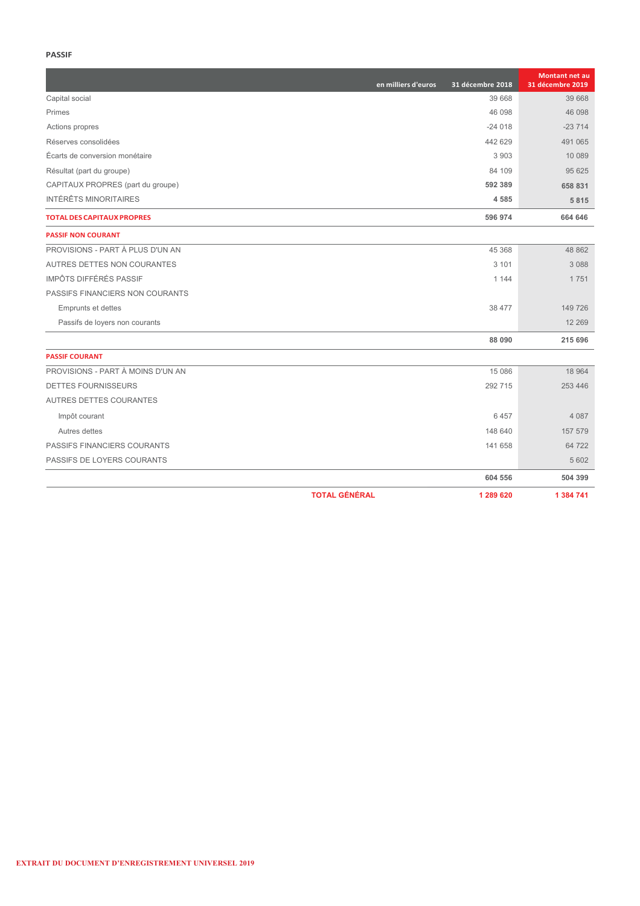#### **PASSIF**

|                                   | en milliers d'euros | 31 décembre 2018 | Montant net au<br>31 décembre 2019 |
|-----------------------------------|---------------------|------------------|------------------------------------|
| Capital social                    |                     | 39 668           | 39 668                             |
| Primes                            |                     | 46 098           | 46 098                             |
| Actions propres                   |                     | $-24018$         | $-23714$                           |
| Réserves consolidées              |                     | 442 629          | 491 065                            |
| Écarts de conversion monétaire    |                     | 3903             | 10 089                             |
| Résultat (part du groupe)         |                     | 84 109           | 95 625                             |
| CAPITAUX PROPRES (part du groupe) |                     | 592 389          | 658 831                            |
| <b>INTÉRÊTS MINORITAIRES</b>      |                     | 4585             | 5815                               |
| <b>TOTAL DES CAPITAUX PROPRES</b> |                     | 596 974          | 664 646                            |
| <b>PASSIF NON COURANT</b>         |                     |                  |                                    |
| PROVISIONS - PART À PLUS D'UN AN  |                     | 45 368           | 48 862                             |
| AUTRES DETTES NON COURANTES       |                     | 3 1 0 1          | 3088                               |
| <b>IMPÔTS DIFFÉRÉS PASSIF</b>     |                     | 1 1 4 4          | 1751                               |
| PASSIFS FINANCIERS NON COURANTS   |                     |                  |                                    |
| <b>Emprunts et dettes</b>         |                     | 38 477           | 149 726                            |
| Passifs de loyers non courants    |                     |                  | 12 2 6 9                           |
|                                   |                     | 88 090           | 215 696                            |
| <b>PASSIF COURANT</b>             |                     |                  |                                    |
| PROVISIONS - PART À MOINS D'UN AN |                     | 15 086           | 18 9 64                            |
| DETTES FOURNISSEURS               |                     | 292 715          | 253 446                            |
| AUTRES DETTES COURANTES           |                     |                  |                                    |
| Impôt courant                     |                     | 6457             | 4 0 8 7                            |
| Autres dettes                     |                     | 148 640          | 157 579                            |
| PASSIFS FINANCIERS COURANTS       |                     | 141 658          | 64 722                             |
| PASSIFS DE LOYERS COURANTS        |                     |                  | 5 6 0 2                            |
|                                   |                     | 604 556          | 504 399                            |
| <b>TOTAL GÉNÉRAL</b>              |                     | 1 289 620        | 1 384 741                          |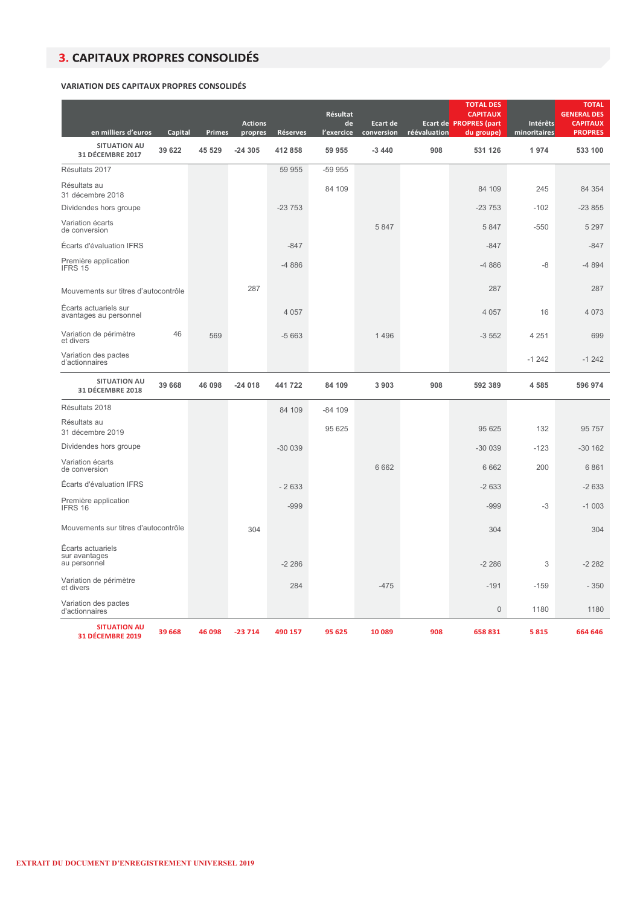## **3. CAPITAUX PROPRES CONSOLIDÉS**

#### **VARIATION DES CAPITAUX PROPRES CONSOLIDÉS**

| en milliers d'euros                                | Capital | Primes | <b>Actions</b><br>propres | <b>Réserves</b> | Résultat<br>de<br>l'exercice | Ecart de<br>conversion | réévaluation | <b>TOTAL DES</b><br><b>CAPITAUX</b><br><b>Ecart de PROPRES (part</b><br>du groupe) | Intérêts<br>minoritaires | <b>TOTAL</b><br><b>GENERAL DES</b><br><b>CAPITAUX</b><br><b>PROPRES</b> |
|----------------------------------------------------|---------|--------|---------------------------|-----------------|------------------------------|------------------------|--------------|------------------------------------------------------------------------------------|--------------------------|-------------------------------------------------------------------------|
| <b>SITUATION AU</b><br>31 DÉCEMBRE 2017            | 39 622  | 45 529 | -24 305                   | 412 858         | 59 955                       | $-3440$                | 908          | 531 126                                                                            | 1974                     | 533 100                                                                 |
| Résultats 2017                                     |         |        |                           | 59 955          | -59 955                      |                        |              |                                                                                    |                          |                                                                         |
| Résultats au<br>31 décembre 2018                   |         |        |                           |                 | 84 109                       |                        |              | 84 109                                                                             | 245                      | 84 354                                                                  |
| Dividendes hors groupe                             |         |        |                           | $-23753$        |                              |                        |              | $-23753$                                                                           | $-102$                   | $-23855$                                                                |
| Variation écarts<br>de conversion                  |         |        |                           |                 |                              | 5 8 4 7                |              | 5847                                                                               | $-550$                   | 5 2 9 7                                                                 |
| Écarts d'évaluation IFRS                           |         |        |                           | $-847$          |                              |                        |              | $-847$                                                                             |                          | $-847$                                                                  |
| Première application<br>IFRS 15                    |         |        |                           | $-4886$         |                              |                        |              | $-4886$                                                                            | -8                       | $-4894$                                                                 |
| Mouvements sur titres d'autocontrôle               |         |        | 287                       |                 |                              |                        |              | 287                                                                                |                          | 287                                                                     |
| Écarts actuariels sur<br>avantages au personnel    |         |        |                           | 4 0 5 7         |                              |                        |              | 4 0 5 7                                                                            | 16                       | 4 0 7 3                                                                 |
| Variation de périmètre<br>et divers                | 46      | 569    |                           | $-5663$         |                              | 1 4 9 6                |              | $-3552$                                                                            | 4 2 5 1                  | 699                                                                     |
| Variation des pactes<br>d'actionnaires             |         |        |                           |                 |                              |                        |              |                                                                                    | $-1242$                  | $-1242$                                                                 |
| <b>SITUATION AU</b><br>31 DÉCEMBRE 2018            | 39 668  | 46 098 | $-24018$                  | 441 722         | 84 109                       | 3903                   | 908          | 592 389                                                                            | 4585                     | 596 974                                                                 |
| Résultats 2018                                     |         |        |                           | 84 109          | $-84109$                     |                        |              |                                                                                    |                          |                                                                         |
| Résultats au<br>31 décembre 2019                   |         |        |                           |                 | 95 625                       |                        |              | 95 625                                                                             | 132                      | 95 757                                                                  |
| Dividendes hors groupe                             |         |        |                           | $-300039$       |                              |                        |              | $-30039$                                                                           | $-123$                   | $-30162$                                                                |
| Variation écarts<br>de conversion                  |         |        |                           |                 |                              | 6 6 6 2                |              | 6662                                                                               | 200                      | 6861                                                                    |
| Écarts d'évaluation IFRS                           |         |        |                           | $-2633$         |                              |                        |              | $-2633$                                                                            |                          | $-2633$                                                                 |
| Première application<br>IFRS 16                    |         |        |                           | $-999$          |                              |                        |              | $-999$                                                                             | -3                       | $-1003$                                                                 |
| Mouvements sur titres d'autocontrôle               |         |        | 304                       |                 |                              |                        |              | 304                                                                                |                          | 304                                                                     |
| Écarts actuariels<br>sur avantages<br>au personnel |         |        |                           | $-2286$         |                              |                        |              | $-2286$                                                                            | 3                        | $-2282$                                                                 |
| Variation de périmètre<br>et divers                |         |        |                           | 284             |                              | $-475$                 |              | $-191$                                                                             | $-159$                   | $-350$                                                                  |
| Variation des pactes<br>d'actionnaires             |         |        |                           |                 |                              |                        |              | $\mathbf{0}$                                                                       | 1180                     | 1180                                                                    |
| <b>SITUATION AU</b><br>31 DÉCEMBRE 2019            | 39 6 68 | 46 098 | $-23714$                  | 490 157         | 95 625                       | 10 089                 | 908          | 658831                                                                             | 5815                     | 664 646                                                                 |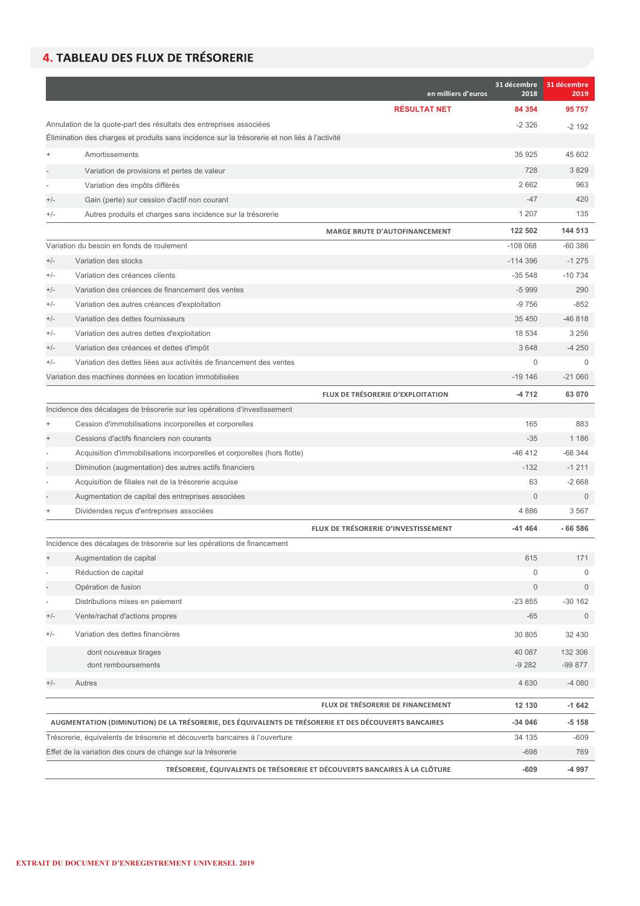# 4. TABLEAU DES FLUX DE TRÉSORERIE

|                              |                                                                                                       | en milliers d'euros | 31 décembre<br>2018 | 31 décembre<br>2019 |
|------------------------------|-------------------------------------------------------------------------------------------------------|---------------------|---------------------|---------------------|
|                              |                                                                                                       | <b>RÉSULTAT NET</b> | 84 354              | 95757               |
|                              | Annulation de la quote-part des résultats des entreprises associées                                   |                     | $-2326$             | $-2192$             |
|                              | Élimination des charges et produits sans incidence sur la trésorerie et non liés à l'activité         |                     |                     |                     |
|                              | Amortissements                                                                                        |                     | 35 925              | 45 602              |
|                              | Variation de provisions et pertes de valeur                                                           |                     | 728                 | 3829                |
|                              | Variation des impôts différés                                                                         |                     | 2662                | 963                 |
| $+/-$                        | Gain (perte) sur cession d'actif non courant                                                          |                     | $-47$               | 420                 |
| $+/-$                        | Autres produits et charges sans incidence sur la trésorerie                                           |                     | 1 2 0 7             | 135                 |
|                              | <b>MARGE BRUTE D'AUTOFINANCEMENT</b>                                                                  |                     | 122 502             | 144 513             |
|                              | Variation du besoin en fonds de roulement                                                             |                     | $-108068$           | $-60386$            |
| $+/-$                        | Variation des stocks                                                                                  |                     | $-114396$           | $-1275$             |
| $+/-$                        | Variation des créances clients                                                                        |                     | $-35548$            | $-10734$            |
| $+/-$                        | Variation des créances de financement des ventes                                                      |                     | $-5999$             | 290                 |
| $+/-$                        | Variation des autres créances d'exploitation                                                          |                     | $-9756$             | $-852$              |
| $+/-$                        | Variation des dettes fournisseurs                                                                     |                     | 35 450              | $-46818$            |
| $+/-$                        | Variation des autres dettes d'exploitation                                                            |                     | 18 534              | 3 2 5 6             |
| $+/-$                        | Variation des créances et dettes d'impôt                                                              |                     | 3648                | $-4250$             |
| $+/-$                        | Variation des dettes liées aux activités de financement des ventes                                    |                     | $\mathbf 0$         | $\Omega$            |
|                              | Variation des machines données en location immobilisées                                               |                     | $-19146$            | $-21060$            |
|                              | FLUX DE TRÉSORERIE D'EXPLOITATION                                                                     |                     | -4 712              | 63 070              |
|                              | Incidence des décalages de trésorerie sur les opérations d'investissement                             |                     |                     |                     |
| $\ddot{}$                    | Cession d'immobilisations incorporelles et corporelles                                                |                     | 165                 | 883                 |
|                              | Cessions d'actifs financiers non courants                                                             |                     | $-35$               | 1 1 8 6             |
|                              | Acquisition d'immobilisations incorporelles et corporelles (hors flotte)                              |                     | $-46412$            | $-68344$            |
|                              | Diminution (augmentation) des autres actifs financiers                                                |                     | $-132$              | $-1211$             |
|                              | Acquisition de filiales net de la trésorerie acquise                                                  |                     | 63                  | $-2668$             |
|                              | Augmentation de capital des entreprises associées                                                     |                     | $\mathbf{0}$        | $\Omega$            |
|                              | Dividendes reçus d'entreprises associées                                                              |                     | 4 8 8 6             | 3567                |
|                              | FLUX DE TRÉSORERIE D'INVESTISSEMENT                                                                   |                     | -41 464             | $-66586$            |
|                              | Incidence des décalages de trésorerie sur les opérations de financement                               |                     |                     |                     |
|                              | Augmentation de capital                                                                               |                     | 615                 | 171                 |
|                              | Réduction de capital                                                                                  |                     | 0                   | 0                   |
| L                            | Opération de fusion                                                                                   |                     | $\mathsf{O}\xspace$ | $\overline{0}$      |
| $\qquad \qquad \blacksquare$ | Distributions mises en paiement                                                                       |                     | $-23855$            | $-30162$            |
| $+/-$                        | Vente/rachat d'actions propres                                                                        |                     | $-65$               | $\mathbf{0}$        |
| $+/-$                        | Variation des dettes financières                                                                      |                     | 30 805              | 32 430              |
|                              | dont nouveaux tirages                                                                                 |                     | 40 087              | 132 306             |
|                              | dont remboursements                                                                                   |                     | $-9282$             | -99 877             |
| $+/-$                        | Autres                                                                                                |                     | 4 6 3 0             | $-4080$             |
|                              | FLUX DE TRÉSORERIE DE FINANCEMENT                                                                     |                     | 12 130              | $-1642$             |
|                              | AUGMENTATION (DIMINUTION) DE LA TRÉSORERIE, DES ÉQUIVALENTS DE TRÉSORERIE ET DES DÉCOUVERTS BANCAIRES |                     | -34 046             | $-5158$             |
|                              | Trésorerie, équivalents de trésorerie et découverts bancaires à l'ouverture                           |                     | 34 135              | $-609$              |
|                              | Effet de la variation des cours de change sur la trésorerie                                           |                     | $-698$              | 769                 |
|                              | TRÉSORERIE, ÉQUIVALENTS DE TRÉSORERIE ET DÉCOUVERTS BANCAIRES À LA CLÔTURE                            |                     | $-609$              | -4 997              |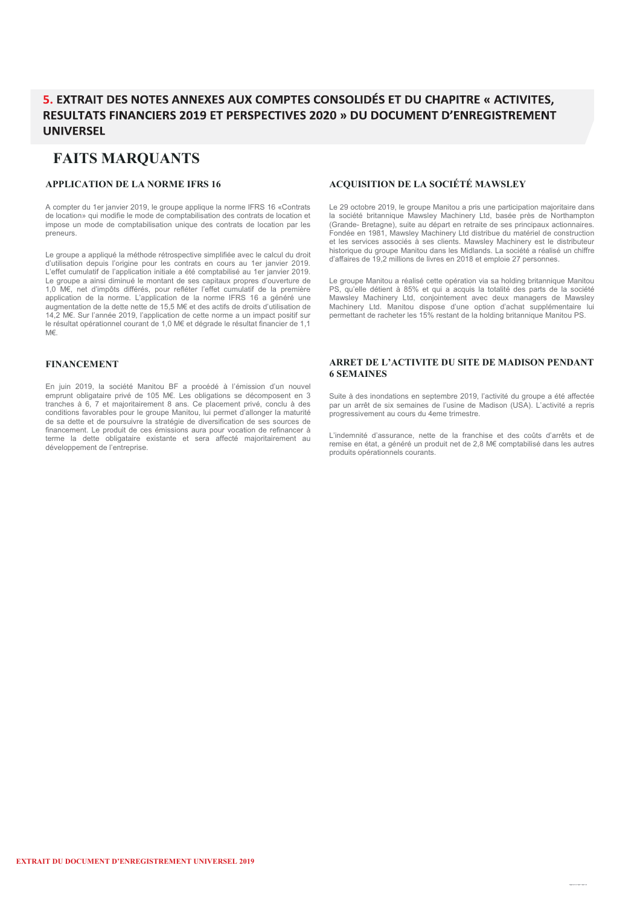### 5. EXTRAIT DES NOTES ANNEXES AUX COMPTES CONSOLIDÉS ET DU CHAPITRE « ACTIVITES. RESULTATS FINANCIERS 2019 ET PERSPECTIVES 2020 » DU DOCUMENT D'ENREGISTREMENT **UNIVERSEL**

### **FAITS MARQUANTS**

#### **APPLICATION DE LA NORME IFRS 16**

A compter du 1er janvier 2019, le groupe applique la norme IFRS 16 «Contrats de location» qui modifie le mode de comptabilisation des contrats de location et impose un mode de comptabilisation unique des contrats de location par les preneurs.

Le groupe a appliqué la méthode rétrospective simplifiée avec le calcul du droit d'utilisation depuis l'origine pour les contrats en cours au 1er janvier 2019. L'effet cumulatif de l'application initiale a été comptabilisé au 1er janvier 2019. Le groupe a ainsi diminué le montant de ses capitaux propres d'ouverture de 1,0 M€, net d'impôts différés, pour refléter l'effet cumulatif de la première application de la norme. L'application de la norme IFRS 16 a généré une augmentation de la dette nette de 15,5 M€ et des actifs de droits d'utilisation de 14,2 M€. Sur l'année 2019, l'application de cette norme a un impact positif sur le résultat opérationnel courant de 1,0 M€ et dégrade le résultat financier de 1,1 M€.

#### **FINANCEMENT**

En juin 2019, la société Manitou BF a procédé à l'émission d'un nouvel emprunt obligataire privé de 105 M€. Les obligations se décomposent en 3 tranches à 6, 7 et majoritairement 8 ans. Ce placement privé, conclu à des conditions favorables pour le groupe Manitou, lui permet d'allonger la maturité de sa dette et de poursuivre la stratégie de diversification de ses sources de financement. Le produit de ces émissions aura pour vocation de refinancer à terme la dette obligataire existante et sera affecté majoritairement au développement de l'entreprise.

#### **ACQUISITION DE LA SOCIÉTÉ MAWSLEY**

Le 29 octobre 2019, le groupe Manitou a pris une participation majoritaire dans la société britannique Mawsley Machinery Ltd, basée près de Northampton (Grande- Bretagne), suite au départ en retraite de ses principaux actionnaires. Fondée en 1981, Mawsley Machinery Ltd distribue du matériel de construction et les services associés à ses clients. Mawsley Machinery est le distributeur historique du groupe Manitou dans les Midlands. La société a réalisé un chiffre d'affaires de 19,2 millions de livres en 2018 et emploie 27 personnes.

Le groupe Manitou a réalisé cette opération via sa holding britannique Manitou PS, qu'elle détient à 85% et qui a acquis la totalité des parts de la société Mawsley Machinery Ltd, conjointement avec deux managers de Mawsley Machinery Ltd. Manitou dispose d'une option d'achat supplémentaire lui permettant de racheter les 15% restant de la holding britannique Manitou PS.

#### **ARRET DE L'ACTIVITE DU SITE DE MADISON PENDANT 6 SEMAINES**

Suite à des inondations en septembre 2019, l'activité du groupe a été affectée par un arrêt de six semaines de l'usine de Madison (USA). L'activité a repris progressivement au cours du 4eme trimestre.

L'indemnité d'assurance, nette de la franchise et des coûts d'arrêts et de remise en état, a généré un produit net de 2,8 M€ comptabilisé dans les autres produits opérationnels courants.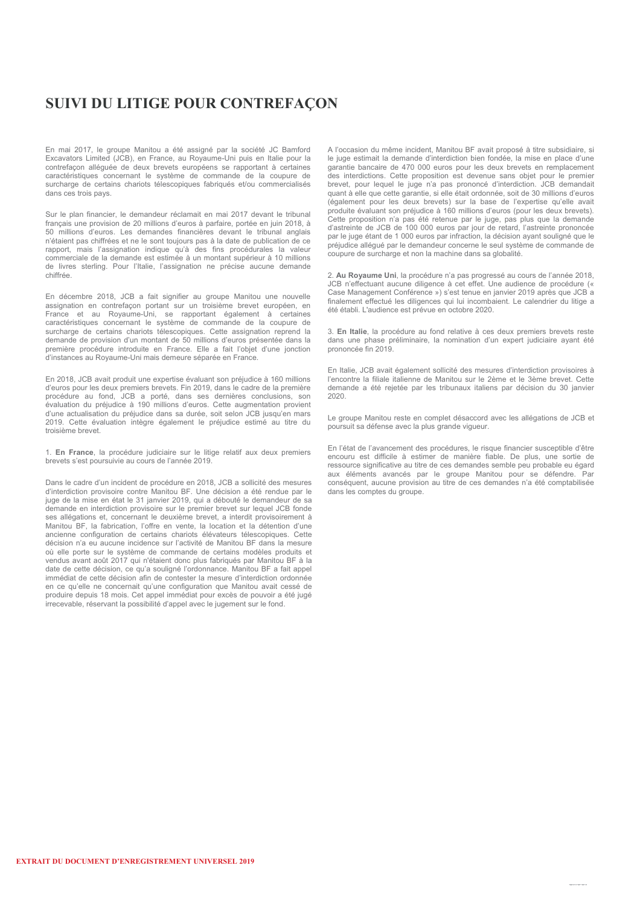# **SUIVI DU LITIGE POUR CONTREFAÇON**

En mai 2017, le groupe Manitou a été assigné par la société JC Bamford Excavators Limited (JCB), en France, au Royaume-Uni puis en Italie pour la contrefaçon alléguée de deux brevets européens se rapportant à certaines caractéristiques concernant le système de commande de la coupure de surcharge de certains chariots télescopiques fabriqués et/ou commercialisés dans ces trois pays.

Sur le plan financier, le demandeur réclamait en mai 2017 devant le tribunal français une provision de 20 millions d'euros à parfaire, portée en juin 2018, à 50 millions d'euros. Les demandes financières devant le tribunal anglais n'étaient pas chiffrées et ne le sont toujours pas à la date de publication de ce rapport, mais l'assignation indique qu'à des fins procédurales la valeur commerciale de la demande est estimée à un montant supérieur à 10 millions de livres sterling. Pour l'Italie, l'assignation ne précise aucune demande chiffrée.

En décembre 2018, JCB a fait signifier au groupe Manitou une nouvelle assignation en contrefaçon portant sur un troisième brevet européen, en France et au Royaume-Uni, se rapportant également à certaines caractéristiques concernant le système de commande de la coupure de surcharge de certains chariots télescopiques. Cette assignation reprend la demande de provision d'un montant de 50 millions d'euros présentée dans la première procédure introduite en France. Elle a fait l'objet d'une jonction d'instances au Royaume-Uni mais demeure séparée en France.

En 2018, JCB avait produit une expertise évaluant son préjudice à 160 millions d'euros pour les deux premiers brevets. Fin 2019, dans le cadre de la première procédure au fond, JCB a porté, dans ses dernières conclusions, son évaluation du préjudice à 190 millions d'euros. Cette augmentation provient d'une actualisation du préjudice dans sa durée, soit selon JCB jusqu'en mars 2019. Cette évaluation intègre également le préjudice estimé au titre du troisième brevet.

1. **En France**, la procédure judiciaire sur le litige relatif aux deux premiers brevets s'est poursuivie au cours de l'année 2019.

Dans le cadre d'un incident de procédure en 2018, JCB a sollicité des mesures d'interdiction provisoire contre Manitou BF. Une décision a été rendue par le juge de la mise en état le 31 janvier 2019, qui a débouté le demandeur de sa demande en interdiction provisoire sur le premier brevet sur lequel JCB fonde ses allégations et, concernant le deuxième brevet, a interdit provisoirement à Manitou BF, la fabrication, l'offre en vente, la location et la détention d'une ancienne configuration de certains chariots élévateurs télescopiques. Cette décision n'a eu aucune incidence sur l'activité de Manitou BF dans la mesure où elle porte sur le système de commande de certains modèles produits et vendus avant août 2017 qui n'étaient donc plus fabriqués par Manitou BF à la date de cette décision, ce qu'a souligné l'ordonnance. Manitou BF a fait appel immédiat de cette décision afin de contester la mesure d'interdiction ordonnée en ce qu'elle ne concernait qu'une configuration que Manitou avait cessé de produire depuis 18 mois. Cet appel immédiat pour excès de pouvoir a été jugé irrecevable, réservant la possibilité d'appel avec le jugement sur le fond.

A l'occasion du même incident, Manitou BF avait proposé à titre subsidiaire, si le juge estimait la demande d'interdiction bien fondée, la mise en place d'une garantie bancaire de 470 000 euros pour les deux brevets en remplacement des interdictions. Cette proposition est devenue sans objet pour le premier brevet, pour lequel le juge n'a pas prononcé d'interdiction. JCB demandait quant à elle que cette garantie, si elle était ordonnée, soit de 30 millions d'euros (également pour les deux brevets) sur la base de l'expertise qu'elle avait produite évaluant son préjudice à 160 millions d'euros (pour les deux brevets). Cette proposition n'a pas été retenue par le juge, pas plus que la demande d'astreinte de JCB de 100 000 euros par jour de retard, l'astreinte prononcée par le juge étant de 1 000 euros par infraction, la décision ayant souligné que le préjudice allégué par le demandeur concerne le seul système de commande de coupure de surcharge et non la machine dans sa globalité.

2. **Au Royaume Uni**, la procédure n'a pas progressé au cours de l'année 2018, JCB n'effectuant aucune diligence à cet effet. Une audience de procédure (« Case Management Conférence ») s'est tenue en janvier 2019 après que JCB a finalement effectué les diligences qui lui incombaient. Le calendrier du litige a été établi. L'audience est prévue en octobre 2020.

3. **En Italie**, la procédure au fond relative à ces deux premiers brevets reste dans une phase préliminaire, la nomination d'un expert judiciaire ayant été prononcée fin 2019.

En Italie, JCB avait également sollicité des mesures d'interdiction provisoires à l'encontre la filiale italienne de Manitou sur le 2ème et le 3ème brevet. Cette demande a été rejetée par les tribunaux italiens par décision du 30 janvier 2020.

Le groupe Manitou reste en complet désaccord avec les allégations de JCB et poursuit sa défense avec la plus grande vigueur.

En l'état de l'avancement des procédures, le risque financier susceptible d'être encouru est difficile à estimer de manière fiable. De plus, une sortie de ressource significative au titre de ces demandes semble peu probable eu égard aux éléments avancés par le groupe Manitou pour se défendre. conséquent, aucune provision au titre de ces demandes n'a été comptabilisée dans les comptes du groupe.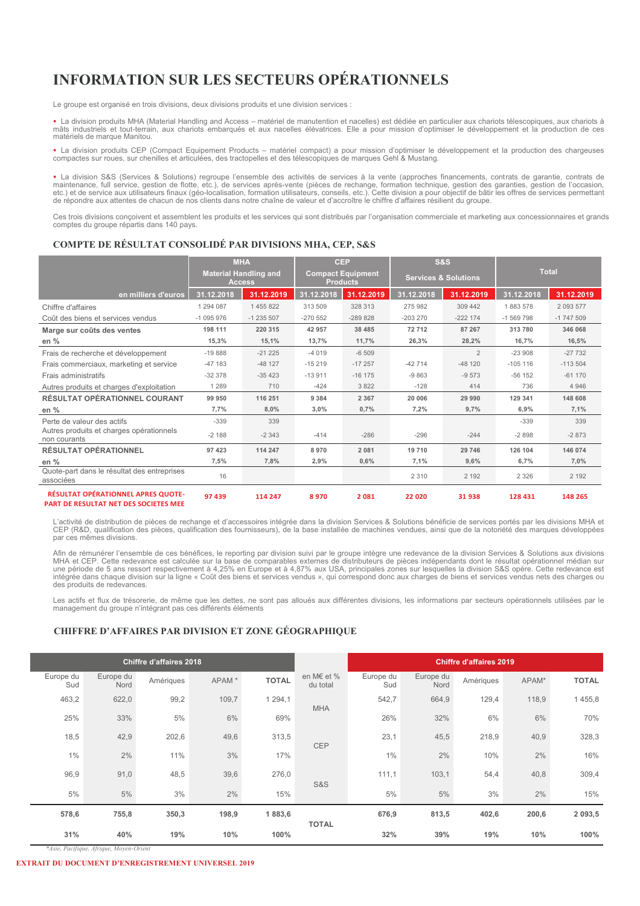# **INFORMATION SUR LES SECTEURS OPÉRATIONNELS**

Le groupe est organisé en trois divisions, deux divisions produits et une division services :

• La division produits MHA (Material Handling and Access – matériel de manutention et nacelles) est dédiée en particulier aux chariots télescopiques, aux chariots à<br>mâts industriels et tout-terrain, aux chariots embarqués matériels de marque Manitou.

• La division produits CEP (Compact Equipement Products – matériel compact) a pour mission d'optimiser le développement et la production des chargeuses compactes sur roues, sur chenilles et articulées, des tractopelles et des télescopiques de marques Gehl & Mustang.

• La division S&S (Services & Solutions) regroupe l'ensemble des activités de services à la vente (approches financements, contrats de garantie, contrats de garantie, contrats de terres de services à la vente (pièces de re de répondre aux attentes de chacun de nos clients dans notre chaîne de valeur et d'accroître le chiffre d'affaires résilient du groupe.

Ces trois divisions conçoivent et assemblent les produits et les services qui sont distribués par l'organisation commerciale et marketing aux concessionnaires et grands comptes du groupe répartis dans 140 pays.

#### **COMPTE DE RÉSULTAT CONSOLIDÉ PAR DIVISIONS MHA, CEP, S&S**

|                                                          | <b>MHA</b>                                    |            |                                             | <b>CEP</b> |            | <b>S&amp;S</b>                  |              |               |
|----------------------------------------------------------|-----------------------------------------------|------------|---------------------------------------------|------------|------------|---------------------------------|--------------|---------------|
|                                                          | <b>Material Handling and</b><br><b>Access</b> |            | <b>Compact Equipment</b><br><b>Products</b> |            |            | <b>Services &amp; Solutions</b> | <b>Total</b> |               |
| en milliers d'euros                                      | 31.12.2018                                    | 31.12.2019 | 31.12.2018                                  | 31.12.2019 | 31.12.2018 | 31.12.2019                      | 31.12.2018   | 31.12.2019    |
| Chiffre d'affaires                                       | 1 294 087                                     | 1455822    | 313 509                                     | 328 313    | 275 982    | 309 442                         | 1883578      | 2 0 9 3 5 7 7 |
| Coût des biens et services vendus                        | $-1095976$                                    | $-1235507$ | $-270552$                                   | $-289828$  | $-203270$  | $-222$ 174                      | $-1569798$   | $-1747509$    |
| Marge sur coûts des ventes                               | 198 111                                       | 220 315    | 42 957                                      | 38 485     | 72712      | 87 267                          | 313 780      | 346 068       |
| en %                                                     | 15,3%                                         | 15,1%      | 13,7%                                       | 11,7%      | 26,3%      | 28,2%                           | 16,7%        | 16,5%         |
| Frais de recherche et développement                      | $-19888$                                      | $-21225$   | $-4019$                                     | $-6509$    |            | $\overline{2}$                  | $-23908$     | $-27732$      |
| Frais commerciaux, marketing et service                  | $-47$ 183                                     | $-48127$   | $-15219$                                    | $-17257$   | $-42714$   | $-48120$                        | $-105$ 116   | $-113504$     |
| Frais administratifs                                     | $-32378$                                      | $-35423$   | $-13911$                                    | $-16$ 175  | $-9863$    | $-9573$                         | $-56$ 152    | $-61170$      |
| Autres produits et charges d'exploitation                | 1 2 8 9                                       | 710        | $-424$                                      | 3 8 2 2    | $-128$     | 414                             | 736          | 4 9 4 6       |
| RÉSULTAT OPÉRATIONNEL COURANT                            | 99 950                                        | 116 251    | 9 3 8 4                                     | 2 3 6 7    | 20 006     | 29 990                          | 129 341      | 148 608       |
| en $%$                                                   | 7,7%                                          | 8,0%       | 3,0%                                        | 0,7%       | 7,2%       | 9,7%                            | 6,9%         | 7,1%          |
| Perte de valeur des actifs                               | $-339$                                        | 339        |                                             |            |            |                                 | $-339$       | 339           |
| Autres produits et charges opérationnels<br>non courants | $-2188$                                       | $-2343$    | $-414$                                      | $-286$     | $-296$     | $-244$                          | $-2898$      | $-2873$       |
| <b>RÉSULTAT OPÉRATIONNEL</b>                             | 97 423                                        | 114 247    | 8970                                        | 2 0 8 1    | 19710      | 29 746                          | 126 104      | 146 074       |
| en $%$                                                   | 7,5%                                          | 7,8%       | 2,9%                                        | 0,6%       | 7,1%       | 9,6%                            | 6,7%         | 7,0%          |
| Quote-part dans le résultat des entreprises<br>associées | 16                                            |            |                                             |            | 2 3 1 0    | 2 1 9 2                         | 2 3 2 6      | 2 1 9 2       |
| <b>RÉSULTAT OPÉRATIONNEL APRES QUOTE-</b>                | 97 439                                        | 114 247    | 8970                                        | 2081       | 22 0 20    | 31938                           | 128 431      | 148 265       |

#### **PART DE RESULTAT NET DES SOCIETES MEE**

L'activité de distribution de pièces de rechange et d'accessoires intégrée dans la division Services & Solutions bénéficie de services portés par les divisions MHA et CEP (R&D, qualification des pièces, qualification des fournisseurs), de la base installée de machines vendues, ainsi que de la notoriété des marques développées par ces mêmes divisions.

Afin de rémunérer l'ensemble de ces bénéfices, le reporting par division suivi par le groupe intègre une redevance de la division Services & Solutions aux divisions<br>MHA et CEP. Cette redevance est calculée sur la base de c des produits de redevances.

Les actifs et flux de trésorerie, de même que les dettes, ne sont pas alloués aux différentes divisions, les informations par secteurs opérationnels utilisées par le management du groupe n'intégrant pas ces différents éléments

#### **CHIFFRE D'AFFAIRES PAR DIVISION ET ZONE GÉOGRAPHIQUE**

|                  |                   | <b>Chiffre d'affaires 2018</b> |                   |              |                        |                  |                   | <b>Chiffre d'affaires 2019</b> |       |              |
|------------------|-------------------|--------------------------------|-------------------|--------------|------------------------|------------------|-------------------|--------------------------------|-------|--------------|
| Europe du<br>Sud | Europe du<br>Nord | Amériques                      | APAM <sup>*</sup> | <b>TOTAL</b> | en M€ et %<br>du total | Europe du<br>Sud | Europe du<br>Nord | Amériques                      | APAM* | <b>TOTAL</b> |
| 463,2            | 622,0             | 99,2                           | 109,7             | 1 2 9 4 1    | <b>MHA</b>             | 542,7            | 664,9             | 129,4                          | 118,9 | 1455,8       |
| 25%              | 33%               | 5%                             | 6%                | 69%          |                        | 26%              | 32%               | 6%                             | 6%    | 70%          |
| 18,5             | 42,9              | 202,6                          | 49,6              | 313,5        | <b>CEP</b>             | 23,1             | 45,5              | 218,9                          | 40,9  | 328,3        |
| 1%               | 2%                | 11%                            | 3%                | 17%          |                        | 1%               | $2\%$             | 10%                            | 2%    | 16%          |
| 96,9             | 91,0              | 48,5                           | 39,6              | 276,0        | <b>S&amp;S</b>         | 111,1            | 103,1             | 54,4                           | 40,8  | 309,4        |
| 5%               | 5%                | 3%                             | 2%                | 15%          |                        | 5%               | 5%                | 3%                             | 2%    | 15%          |
| 578,6            | 755,8             | 350,3                          | 198,9             | 1883,6       |                        | 676,9            | 813,5             | 402,6                          | 200,6 | 2 0 9 3 , 5  |
| 31%              | 40%               | 19%                            | 10%               | 100%         | <b>TOTAL</b>           | 32%              | 39%               | 19%                            | 10%   | 100%         |

*\*Asie, Pacifique, Afrique, Moyen-Orient*